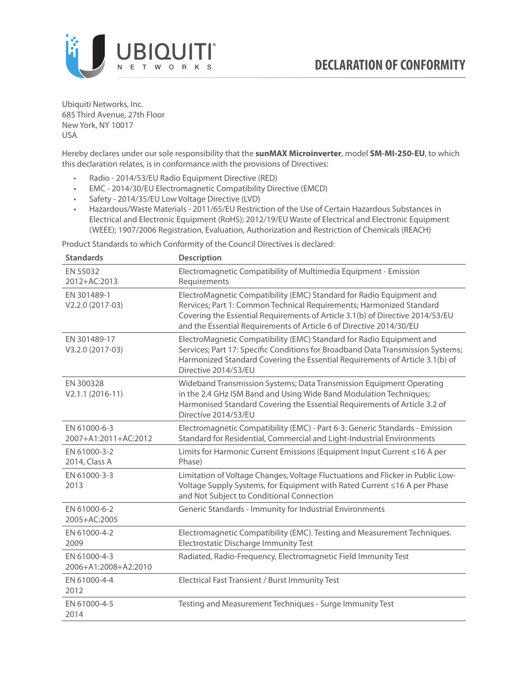

Ubiquiti Networks, Inc. 685 Third Avenue, 27th Floor New York, NY 10017 USA

Hereby declares under our sole responsibility that the **sunMAX Microinverter**, model **SM-MI-250-EU**, to which this declaration relates, is in conformance with the provisions of Directives:

- Radio 2014/53/EU Radio Equipment Directive (RED)
- EMC 2014/30/EU Electromagnetic Compatibility Directive (EMCD)
- Safety 2014/35/EU Low Voltage Directive (LVD)
- Hazardous/Waste Materials 2011/65/EU Restriction of the Use of Certain Hazardous Substances in Electrical and Electronic Equipment (RoHS); 2012/19/EU Waste of Electrical and Electronic Equipment (WEEE); 1907/2006 Registration, Evaluation, Authorization and Restriction of Chemicals (REACH)

Product Standards to which Conformity of the Council Directives is declared:

| <b>Standards</b>                     | <b>Description</b>                                                                                                                                                                                                                                                                                   |
|--------------------------------------|------------------------------------------------------------------------------------------------------------------------------------------------------------------------------------------------------------------------------------------------------------------------------------------------------|
| EN 55032<br>2012+AC:2013             | Electromagnetic Compatibility of Multimedia Equipment - Emission<br>Requirements                                                                                                                                                                                                                     |
| EN 301489-1<br>V2.2.0 (2017-03)      | ElectroMagnetic Compatibility (EMC) Standard for Radio Equipment and<br>Rervices; Part 1: Common Technical Requirements; Harmonized Standard<br>Covering the Essential Requirements of Article 3.1(b) of Directive 2014/53/EU<br>and the Essential Requirements of Article 6 of Directive 2014/30/EU |
| EN 301489-17<br>V3.2.0 (2017-03)     | ElectroMagnetic Compatibility (EMC) Standard for Radio Equipment and<br>Services; Part 17: Specific Conditions for Broadband Data Transmission Systems;<br>Harmonized Standard Covering the Essential Requirements of Article 3.1(b) of<br>Directive 2014/53/EU                                      |
| EN 300328<br>$V2.1.1 (2016-11)$      | Wideband Transmission Systems; Data Transmission Equipment Operating<br>in the 2,4 GHz ISM Band and Using Wide Band Modulation Techniques;<br>Harmonised Standard Covering the Essential Requirements of Article 3.2 of<br>Directive 2014/53/EU                                                      |
| EN 61000-6-3<br>2007+A1:2011+AC:2012 | Electromagnetic Compatibility (EMC) - Part 6-3: Generic Standards - Emission<br>Standard for Residential, Commercial and Light-Industrial Environments                                                                                                                                               |
| EN 61000-3-2<br>2014, Class A        | Limits for Harmonic Current Emissions (Equipment Input Current ≤16 A per<br>Phase)                                                                                                                                                                                                                   |
| EN 61000-3-3<br>2013                 | Limitation of Voltage Changes, Voltage Fluctuations and Flicker in Public Low-<br>Voltage Supply Systems, for Equipment with Rated Current ≤16 A per Phase<br>and Not Subject to Conditional Connection                                                                                              |
| EN 61000-6-2<br>2005+AC:2005         | Generic Standards - Immunity for Industrial Environments                                                                                                                                                                                                                                             |
| EN 61000-4-2<br>2009                 | Electromagnetic Compatibility (EMC). Testing and Measurement Techniques.<br>Electrostatic Discharge Immunity Test                                                                                                                                                                                    |
| EN 61000-4-3<br>2006+A1:2008+A2:2010 | Radiated, Radio-Frequency, Electromagnetic Field Immunity Test                                                                                                                                                                                                                                       |
| EN 61000-4-4<br>2012                 | Electrical Fast Transient / Burst Immunity Test                                                                                                                                                                                                                                                      |
| EN 61000-4-5<br>2014                 | Testing and Measurement Techniques - Surge Immunity Test                                                                                                                                                                                                                                             |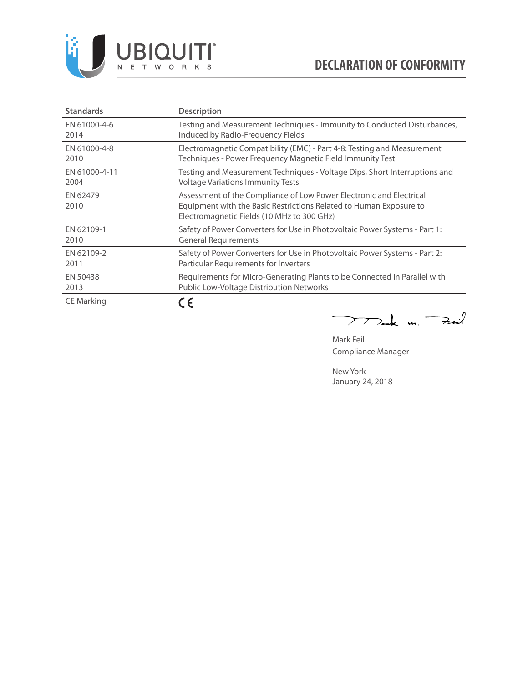

| <b>Standards</b> | <b>Description</b>                                                                                                                                                                      |
|------------------|-----------------------------------------------------------------------------------------------------------------------------------------------------------------------------------------|
| EN 61000-4-6     | Testing and Measurement Techniques - Immunity to Conducted Disturbances,                                                                                                                |
| 2014             | Induced by Radio-Frequency Fields                                                                                                                                                       |
| EN 61000-4-8     | Electromagnetic Compatibility (EMC) - Part 4-8: Testing and Measurement                                                                                                                 |
| 2010             | Techniques - Power Frequency Magnetic Field Immunity Test                                                                                                                               |
| EN 61000-4-11    | Testing and Measurement Techniques - Voltage Dips, Short Interruptions and                                                                                                              |
| 2004             | <b>Voltage Variations Immunity Tests</b>                                                                                                                                                |
| EN 62479<br>2010 | Assessment of the Compliance of Low Power Electronic and Electrical<br>Equipment with the Basic Restrictions Related to Human Exposure to<br>Electromagnetic Fields (10 MHz to 300 GHz) |
| EN 62109-1       | Safety of Power Converters for Use in Photovoltaic Power Systems - Part 1:                                                                                                              |
| 2010             | <b>General Requirements</b>                                                                                                                                                             |
| EN 62109-2       | Safety of Power Converters for Use in Photovoltaic Power Systems - Part 2:                                                                                                              |
| 2011             | Particular Requirements for Inverters                                                                                                                                                   |
| EN 50438         | Requirements for Micro-Generating Plants to be Connected in Parallel with                                                                                                               |
| 2013             | Public Low-Voltage Distribution Networks                                                                                                                                                |
| CE Marking       |                                                                                                                                                                                         |

Mak m. Fail  $\overline{\phantom{0}}$ 

Mark Feil Compliance Manager

New York January 24, 2018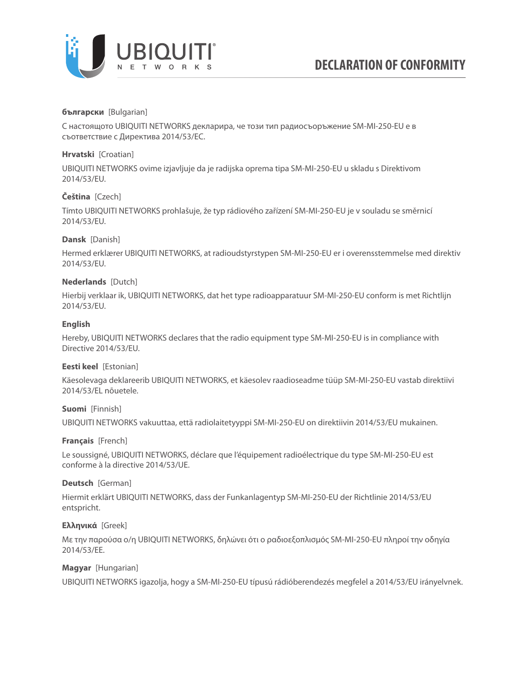

### **български** [Bulgarian]

С настоящото UBIQUITI NETWORKS декларира, че този тип радиосъоръжение SM-MI-250-EU е в съответствие с Директива 2014/53/ЕС.

### **Hrvatski** [Croatian]

UBIQUITI NETWORKS ovime izjavljuje da je radijska oprema tipa SM-MI-250-EU u skladu s Direktivom 2014/53/EU.

# **Čeština** [Czech]

Tímto UBIQUITI NETWORKS prohlašuje, že typ rádiového zařízení SM-MI-250-EU je v souladu se směrnicí 2014/53/EU.

# **Dansk** [Danish]

Hermed erklærer UBIQUITI NETWORKS, at radioudstyrstypen SM-MI-250-EU er i overensstemmelse med direktiv 2014/53/EU.

### **Nederlands** [Dutch]

Hierbij verklaar ik, UBIQUITI NETWORKS, dat het type radioapparatuur SM-MI-250-EU conform is met Richtlijn 2014/53/EU.

# **English**

Hereby, UBIQUITI NETWORKS declares that the radio equipment type SM-MI-250-EU is in compliance with Directive 2014/53/EU.

### **Eesti keel** [Estonian]

Käesolevaga deklareerib UBIQUITI NETWORKS, et käesolev raadioseadme tüüp SM-MI-250-EU vastab direktiivi 2014/53/EL nõuetele.

### **Suomi** [Finnish]

UBIQUITI NETWORKS vakuuttaa, että radiolaitetyyppi SM-MI-250-EU on direktiivin 2014/53/EU mukainen.

### **Français** [French]

Le soussigné, UBIQUITI NETWORKS, déclare que l'équipement radioélectrique du type SM-MI-250-EU est conforme à la directive 2014/53/UE.

### **Deutsch** [German]

Hiermit erklärt UBIQUITI NETWORKS, dass der Funkanlagentyp SM-MI-250-EU der Richtlinie 2014/53/EU entspricht.

### **Ελληνικά** [Greek]

Με την παρούσα ο/η UBIQUITI NETWORKS, δηλώνει ότι ο ραδιοεξοπλισμός SM-MI-250-EU πληροί την οδηγία 2014/53/ΕΕ.

# **Magyar** [Hungarian]

UBIQUITI NETWORKS igazolja, hogy a SM-MI-250-EU típusú rádióberendezés megfelel a 2014/53/EU irányelvnek.